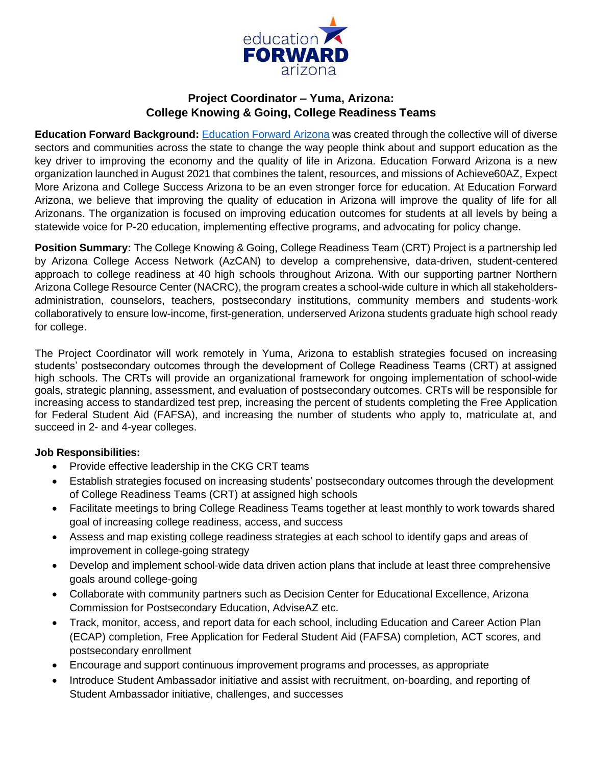

# **Project Coordinator – Yuma, Arizona: College Knowing & Going, College Readiness Teams**

**Education Forward Background:** [Education](https://educationforwardarizona.org/) Forward Arizona was created through the collective will of diverse sectors and communities across the state to change the way people think about and support education as the key driver to improving the economy and the quality of life in Arizona. Education Forward Arizona is a new organization launched in August 2021 that combines the talent, resources, and missions of Achieve60AZ, Expect More Arizona and College Success Arizona to be an even stronger force for education. At Education Forward Arizona, we believe that improving the quality of education in Arizona will improve the quality of life for all Arizonans. The organization is focused on improving education outcomes for students at all levels by being a statewide voice for P-20 education, implementing effective programs, and advocating for policy change.

**Position Summary:** The College Knowing & Going, College Readiness Team (CRT) Project is a partnership led by Arizona College Access Network (AzCAN) to develop a comprehensive, data-driven, student-centered approach to college readiness at 40 high schools throughout Arizona. With our supporting partner Northern Arizona College Resource Center (NACRC), the program creates a school-wide culture in which all stakeholdersadministration, counselors, teachers, postsecondary institutions, community members and students-work collaboratively to ensure low-income, first-generation, underserved Arizona students graduate high school ready for college.

The Project Coordinator will work remotely in Yuma, Arizona to establish strategies focused on increasing students' postsecondary outcomes through the development of College Readiness Teams (CRT) at assigned high schools. The CRTs will provide an organizational framework for ongoing implementation of school-wide goals, strategic planning, assessment, and evaluation of postsecondary outcomes. CRTs will be responsible for increasing access to standardized test prep, increasing the percent of students completing the Free Application for Federal Student Aid (FAFSA), and increasing the number of students who apply to, matriculate at, and succeed in 2- and 4-year colleges.

## **Job Responsibilities:**

- Provide effective leadership in the CKG CRT teams
- Establish strategies focused on increasing students' postsecondary outcomes through the development of College Readiness Teams (CRT) at assigned high schools
- Facilitate meetings to bring College Readiness Teams together at least monthly to work towards shared goal of increasing college readiness, access, and success
- Assess and map existing college readiness strategies at each school to identify gaps and areas of improvement in college-going strategy
- Develop and implement school-wide data driven action plans that include at least three comprehensive goals around college-going
- Collaborate with community partners such as Decision Center for Educational Excellence, Arizona Commission for Postsecondary Education, AdviseAZ etc.
- Track, monitor, access, and report data for each school, including Education and Career Action Plan (ECAP) completion, Free Application for Federal Student Aid (FAFSA) completion, ACT scores, and postsecondary enrollment
- Encourage and support continuous improvement programs and processes, as appropriate
- Introduce Student Ambassador initiative and assist with recruitment, on-boarding, and reporting of Student Ambassador initiative, challenges, and successes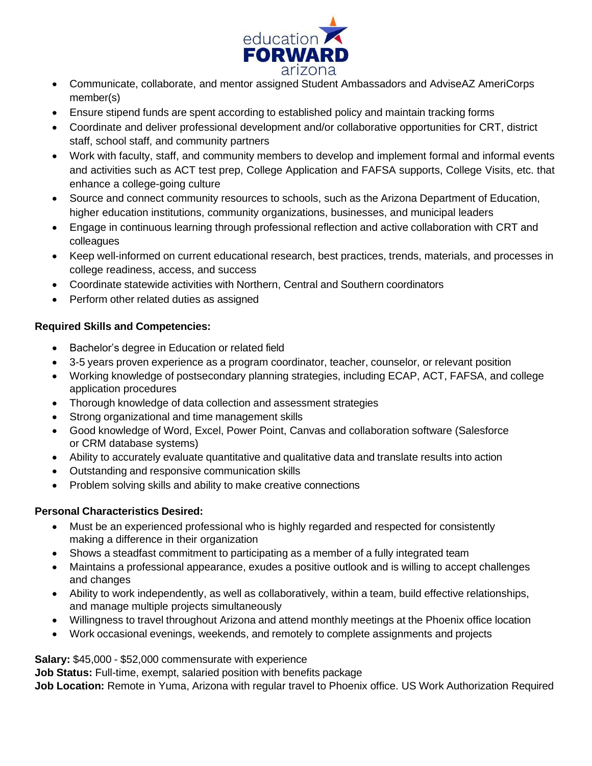

- Communicate, collaborate, and mentor assigned Student Ambassadors and AdviseAZ AmeriCorps member(s)
- Ensure stipend funds are spent according to established policy and maintain tracking forms
- Coordinate and deliver professional development and/or collaborative opportunities for CRT, district staff, school staff, and community partners
- Work with faculty, staff, and community members to develop and implement formal and informal events and activities such as ACT test prep, College Application and FAFSA supports, College Visits, etc. that enhance a college-going culture
- Source and connect community resources to schools, such as the Arizona Department of Education, higher education institutions, community organizations, businesses, and municipal leaders
- Engage in continuous learning through professional reflection and active collaboration with CRT and colleagues
- Keep well-informed on current educational research, best practices, trends, materials, and processes in college readiness, access, and success
- Coordinate statewide activities with Northern, Central and Southern coordinators
- Perform other related duties as assigned

## **Required Skills and Competencies:**

- Bachelor's degree in Education or related field
- 3-5 years proven experience as a program coordinator, teacher, counselor, or relevant position
- Working knowledge of postsecondary planning strategies, including ECAP, ACT, FAFSA, and college application procedures
- Thorough knowledge of data collection and assessment strategies
- Strong organizational and time management skills
- Good knowledge of Word, Excel, Power Point, Canvas and collaboration software (Salesforce or CRM database systems)
- Ability to accurately evaluate quantitative and qualitative data and translate results into action
- Outstanding and responsive communication skills
- Problem solving skills and ability to make creative connections

## **Personal Characteristics Desired:**

- Must be an experienced professional who is highly regarded and respected for consistently making a difference in their organization
- Shows a steadfast commitment to participating as a member of a fully integrated team
- Maintains a professional appearance, exudes a positive outlook and is willing to accept challenges and changes
- Ability to work independently, as well as collaboratively, within a team, build effective relationships, and manage multiple projects simultaneously
- Willingness to travel throughout Arizona and attend monthly meetings at the Phoenix office location
- Work occasional evenings, weekends, and remotely to complete assignments and projects

**Salary:** \$45,000 - \$52,000 commensurate with experience

**Job Status:** Full-time, exempt, salaried position with benefits package

**Job Location:** Remote in Yuma, Arizona with regular travel to Phoenix office. US Work Authorization Required